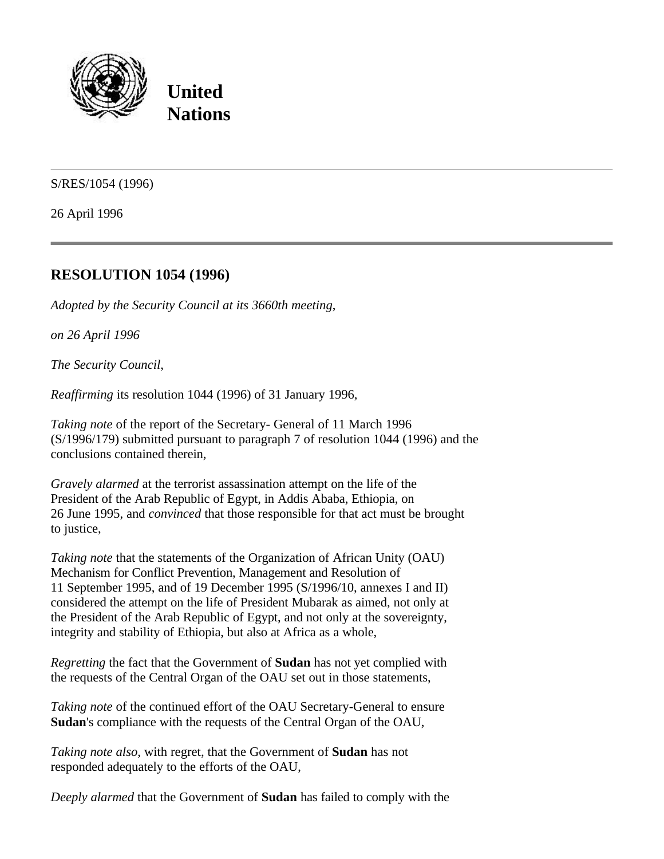

**United Nations**

S/RES/1054 (1996)

26 April 1996

## **RESOLUTION 1054 (1996)**

*Adopted by the Security Council at its 3660th meeting*,

*on 26 April 1996*

*The Security Council*,

*Reaffirming* its resolution 1044 (1996) of 31 January 1996,

*Taking note* of the report of the Secretary- General of 11 March 1996 (S/1996/179) submitted pursuant to paragraph 7 of resolution 1044 (1996) and the conclusions contained therein,

*Gravely alarmed* at the terrorist assassination attempt on the life of the President of the Arab Republic of Egypt, in Addis Ababa, Ethiopia, on 26 June 1995, and *convinced* that those responsible for that act must be brought to justice,

*Taking note* that the statements of the Organization of African Unity (OAU) Mechanism for Conflict Prevention, Management and Resolution of 11 September 1995, and of 19 December 1995 (S/1996/10, annexes I and II) considered the attempt on the life of President Mubarak as aimed, not only at the President of the Arab Republic of Egypt, and not only at the sovereignty, integrity and stability of Ethiopia, but also at Africa as a whole,

*Regretting* the fact that the Government of **Sudan** has not yet complied with the requests of the Central Organ of the OAU set out in those statements,

*Taking note* of the continued effort of the OAU Secretary-General to ensure **Sudan**'s compliance with the requests of the Central Organ of the OAU,

*Taking note also*, with regret, that the Government of **Sudan** has not responded adequately to the efforts of the OAU,

*Deeply alarmed* that the Government of **Sudan** has failed to comply with the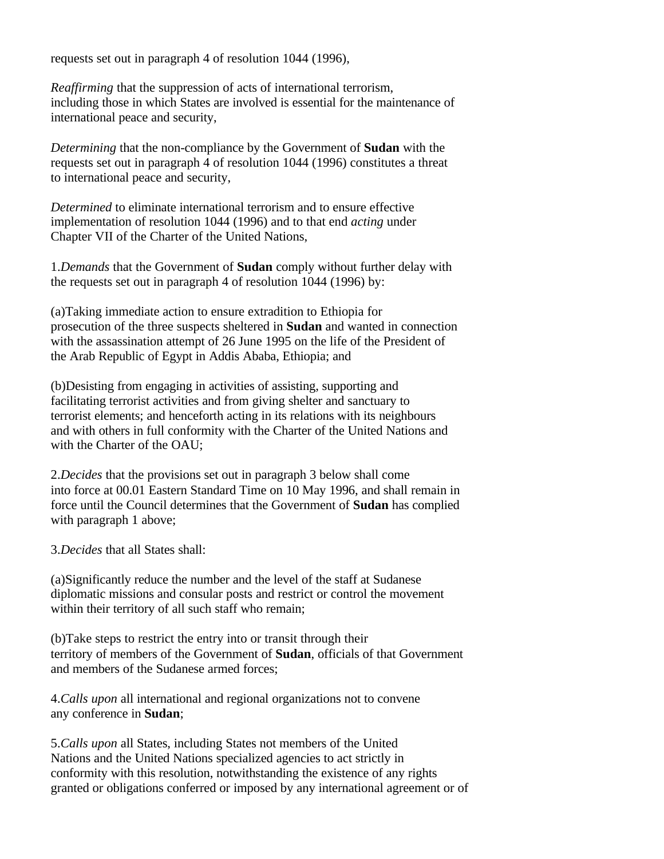requests set out in paragraph 4 of resolution 1044 (1996),

*Reaffirming* that the suppression of acts of international terrorism, including those in which States are involved is essential for the maintenance of international peace and security,

*Determining* that the non-compliance by the Government of **Sudan** with the requests set out in paragraph 4 of resolution 1044 (1996) constitutes a threat to international peace and security,

*Determined* to eliminate international terrorism and to ensure effective implementation of resolution 1044 (1996) and to that end *acting* under Chapter VII of the Charter of the United Nations,

1.*Demands* that the Government of **Sudan** comply without further delay with the requests set out in paragraph 4 of resolution 1044 (1996) by:

(a)Taking immediate action to ensure extradition to Ethiopia for prosecution of the three suspects sheltered in **Sudan** and wanted in connection with the assassination attempt of 26 June 1995 on the life of the President of the Arab Republic of Egypt in Addis Ababa, Ethiopia; and

(b)Desisting from engaging in activities of assisting, supporting and facilitating terrorist activities and from giving shelter and sanctuary to terrorist elements; and henceforth acting in its relations with its neighbours and with others in full conformity with the Charter of the United Nations and with the Charter of the OAU;

2.*Decides* that the provisions set out in paragraph 3 below shall come into force at 00.01 Eastern Standard Time on 10 May 1996, and shall remain in force until the Council determines that the Government of **Sudan** has complied with paragraph 1 above;

3.*Decides* that all States shall:

(a)Significantly reduce the number and the level of the staff at Sudanese diplomatic missions and consular posts and restrict or control the movement within their territory of all such staff who remain;

(b)Take steps to restrict the entry into or transit through their territory of members of the Government of **Sudan**, officials of that Government and members of the Sudanese armed forces;

4.*Calls upon* all international and regional organizations not to convene any conference in **Sudan**;

5.*Calls upon* all States, including States not members of the United Nations and the United Nations specialized agencies to act strictly in conformity with this resolution, notwithstanding the existence of any rights granted or obligations conferred or imposed by any international agreement or of